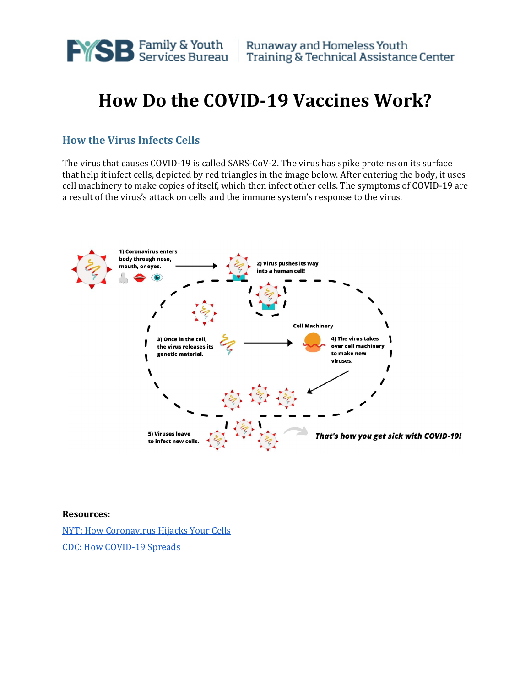

## **How Do the COVID-19 Vaccines Work?**

## **How the Virus Infects Cells**

The virus that causes COVID-19 is called SARS-CoV-2. The virus has spike proteins on its surface that help it infect cells, depicted by red triangles in the image below. After entering the body, it uses cell machinery to make copies of itself, which then infect other cells. The symptoms of COVID-19 are a result of the virus's attack on cells and the immune system's response to the virus.



**Resources:**

[NYT: How Coronavirus Hijacks Your Cells](https://www.nytimes.com/interactive/2020/03/11/science/how-coronavirus-hijacks-your-cells.html) [CDC: How COVID-19](https://www.cdc.gov/coronavirus/2019-ncov/transmission/index.html) Spreads